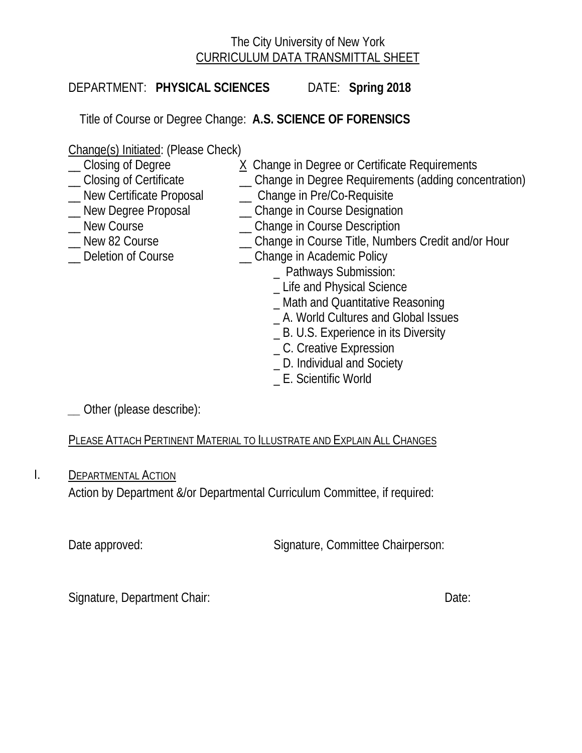# The City University of New York CURRICULUM DATA TRANSMITTAL SHEET

DEPARTMENT: **PHYSICAL SCIENCES** DATE: **Spring 2018**

Title of Course or Degree Change: **A.S. SCIENCE OF FORENSICS**

Change(s) Initiated: (Please Check)

- 
- ◯ Closing of Degree X Change in Degree or Certificate Requirements<br>
◯ Closing of Certificate (Change in Degree Requirements (adding conc
- 
- \_\_ Closing of Certificate \_\_ Change in Degree Requirements (adding concentration) \_\_ New Certificate Proposal \_\_ Change in Pre/Co-Requisite
- \_\_ New Degree Proposal \_\_ Change in Course Designation
- 
- \_ New Course \_\_\_\_\_\_\_\_\_\_\_\_\_\_\_\_\_\_\_\_\_ Change in Course Description
- Lew 82 Course **Example 2 Course Let Angle in Course Title, Numbers Credit and/or Hour**
- 
- Deletion of Course **Example 20** Change in Academic Policy
	- \_ Pathways Submission:
	- \_ Life and Physical Science
	- \_ Math and Quantitative Reasoning
	- \_ A. World Cultures and Global Issues
	- \_ B. U.S. Experience in its Diversity
	- \_ C. Creative Expression
	- \_ D. Individual and Society
	- \_ E. Scientific World

*\_\_* Other (please describe):

PLEASE ATTACH PERTINENT MATERIAL TO ILLUSTRATE AND EXPLAIN ALL CHANGES

I. DEPARTMENTAL ACTION

Action by Department &/or Departmental Curriculum Committee, if required:

Date approved: Signature, Committee Chairperson:

Signature, Department Chair: Date: Date: Date: Date: Date: Date: Date: Date: Date: Date: Date: Date: Date: Date: Date: Date: Date: Date: Date: Date: Date: Date: Date: Date: Date: Date: Date: Date: Date: Date: Date: Date: D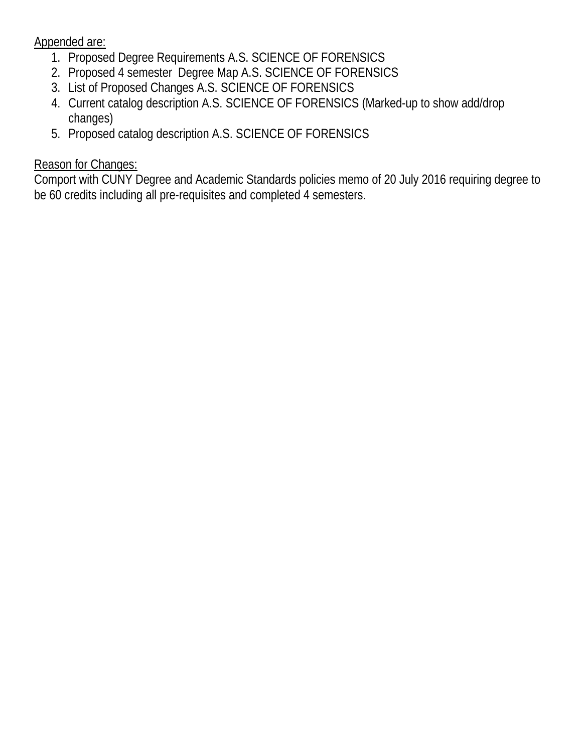Appended are:

- 1. Proposed Degree Requirements A.S. SCIENCE OF FORENSICS
- 2. Proposed 4 semester Degree Map A.S. SCIENCE OF FORENSICS
- 3. List of Proposed Changes A.S. SCIENCE OF FORENSICS
- 4. Current catalog description A.S. SCIENCE OF FORENSICS (Marked-up to show add/drop changes)
- 5. Proposed catalog description A.S. SCIENCE OF FORENSICS

# Reason for Changes:

Comport with CUNY Degree and Academic Standards policies memo of 20 July 2016 requiring degree to be 60 credits including all pre-requisites and completed 4 semesters.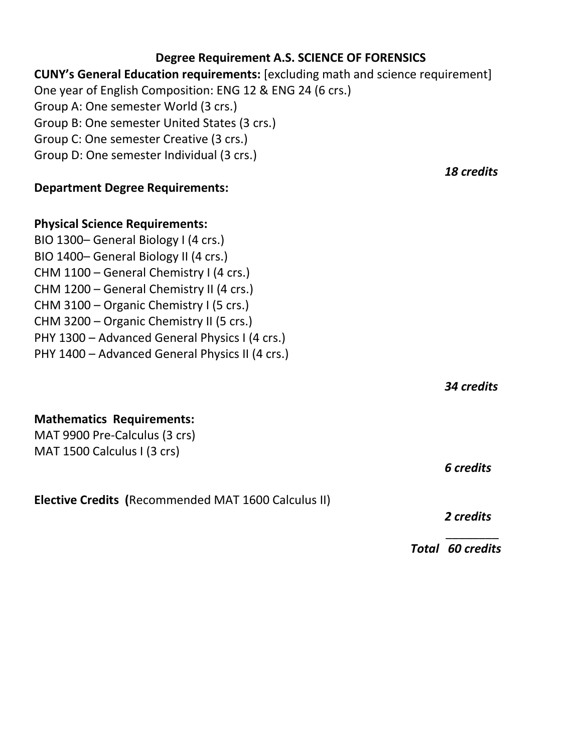## **Degree Requirement A.S. SCIENCE OF FORENSICS**

## **CUNY's General Education requirements:** [excluding math and science requirement] One year of English Composition: ENG 12 & ENG 24 (6 crs.) Group A: One semester World (3 crs.)

Group B: One semester United States (3 crs.)

Group C: One semester Creative (3 crs.)

Group D: One semester Individual (3 crs.)

## **Department Degree Requirements:**

## **Physical Science Requirements:**

BIO 1300– General Biology I (4 crs.) BIO 1400– General Biology II (4 crs.) CHM 1100 – General Chemistry I (4 crs.) CHM 1200 – General Chemistry II (4 crs.) CHM 3100 – Organic Chemistry I (5 crs.) CHM 3200 – Organic Chemistry II (5 crs.) PHY 1300 – Advanced General Physics I (4 crs.) PHY 1400 – Advanced General Physics II (4 crs.)

*34 credits*

## **Mathematics Requirements:**

MAT 9900 Pre-Calculus (3 crs) MAT 1500 Calculus I (3 crs)

**Elective Credits (**Recommended MAT 1600 Calculus II)

the contract of the contract of the contract of the contract of the contract of the contract of the contract of

*2 credits*

*6 credits*

*Total 60 credits*

*18 credits*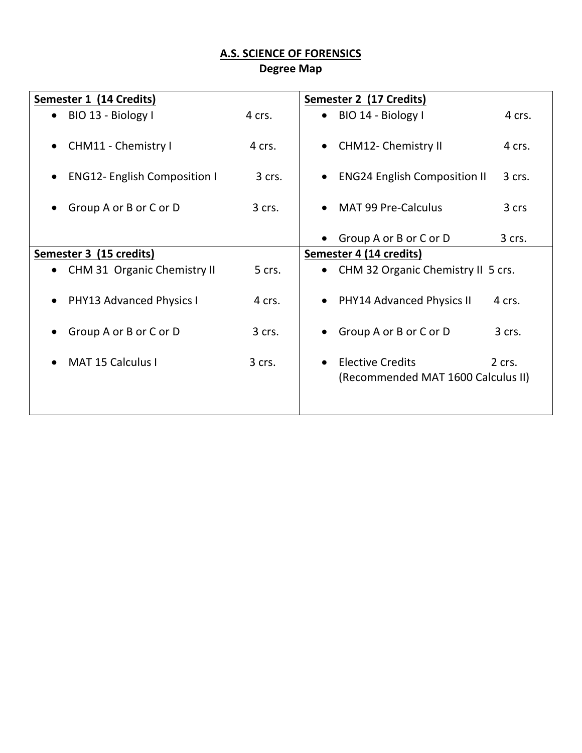# **A.S. SCIENCE OF FORENSICS**

**Degree Map**

| Semester 1 (14 Credits)                          |          | Semester 2 (17 Credits)                                       |        |
|--------------------------------------------------|----------|---------------------------------------------------------------|--------|
| BIO 13 - Biology I<br>$\bullet$                  | 4 crs.   | BIO 14 - Biology I                                            | 4 crs. |
| CHM11 - Chemistry I<br>$\bullet$                 | 4 crs.   | <b>CHM12- Chemistry II</b>                                    | 4 crs. |
| <b>ENG12- English Composition I</b><br>$\bullet$ | 3 crs.   | <b>ENG24 English Composition II</b>                           | 3 crs. |
| Group A or B or C or D                           | 3 crs.   | <b>MAT 99 Pre-Calculus</b>                                    | 3 crs  |
|                                                  |          | Group A or B or C or D                                        | 3 crs. |
| Semester 3 (15 credits)                          |          | Semester 4 (14 credits)                                       |        |
| CHM 31 Organic Chemistry II<br>$\bullet$         | 5 crs.   | CHM 32 Organic Chemistry II 5 crs.                            |        |
| <b>PHY13 Advanced Physics I</b><br>$\bullet$     | 4 crs.   | <b>PHY14 Advanced Physics II</b>                              | 4 crs. |
| Group A or B or C or D                           | 3 crs.   | Group A or B or C or D                                        | 3 crs. |
| <b>MAT 15 Calculus I</b><br>$\bullet$            | $3$ crs. | <b>Elective Credits</b><br>(Recommended MAT 1600 Calculus II) | 2 crs. |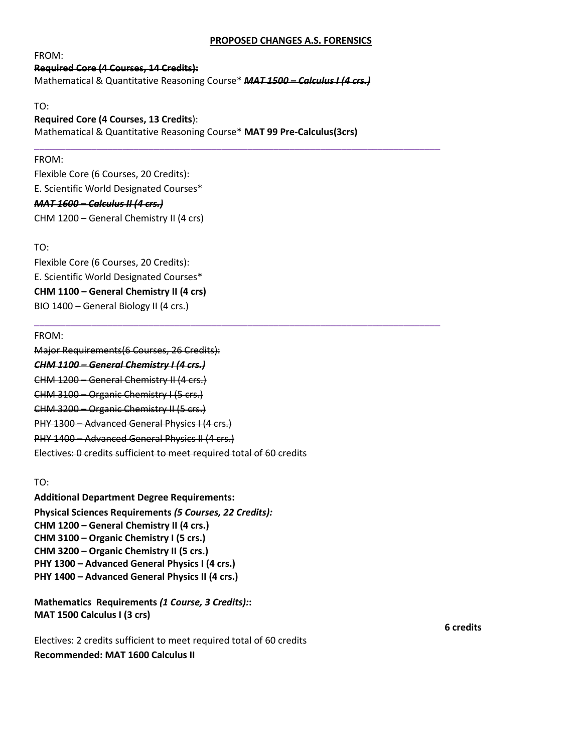#### **PROPOSED CHANGES A.S. FORENSICS**

FROM:

## **Required Core (4 Courses, 14 Credits):**  Mathematical & Quantitative Reasoning Course\* *MAT 1500 – Calculus I (4 crs.)*

TO:

## **Required Core (4 Courses, 13 Credits**):

Mathematical & Quantitative Reasoning Course\* **MAT 99 Pre-Calculus(3crs)**

\_\_\_\_\_\_\_\_\_\_\_\_\_\_\_\_\_\_\_\_\_\_\_\_\_\_\_\_\_\_\_\_\_\_\_\_\_\_\_\_\_\_\_\_\_\_\_\_\_\_\_\_\_\_\_\_\_\_\_\_\_\_\_\_\_\_\_\_\_\_\_\_\_\_\_\_\_\_

\_\_\_\_\_\_\_\_\_\_\_\_\_\_\_\_\_\_\_\_\_\_\_\_\_\_\_\_\_\_\_\_\_\_\_\_\_\_\_\_\_\_\_\_\_\_\_\_\_\_\_\_\_\_\_\_\_\_\_\_\_\_\_\_\_\_\_\_\_\_\_\_\_\_\_\_\_\_

### FROM:

Flexible Core (6 Courses, 20 Credits): E. Scientific World Designated Courses\* *MAT 1600 – Calculus II (4 crs.)* CHM 1200 – General Chemistry II (4 crs)

### TO:

Flexible Core (6 Courses, 20 Credits): E. Scientific World Designated Courses\* **CHM 1100 – General Chemistry II (4 crs)** BIO 1400 – General Biology II (4 crs.)

### FROM:

Major Requirements(6 Courses, 26 Credits): *CHM 1100 – General Chemistry I (4 crs.)*  CHM 1200 – General Chemistry II (4 crs.) CHM 3100 – Organic Chemistry I (5 crs.) CHM 3200 – Organic Chemistry II (5 crs.) PHY 1300 – Advanced General Physics I (4 crs.) PHY 1400 – Advanced General Physics II (4 crs.) Electives: 0 credits sufficient to meet required total of 60 credits

### TO:

**Additional Department Degree Requirements: Physical Sciences Requirements** *(5 Courses, 22 Credits):* **CHM 1200 – General Chemistry II (4 crs.) CHM 3100 – Organic Chemistry I (5 crs.) CHM 3200 – Organic Chemistry II (5 crs.) PHY 1300 – Advanced General Physics I (4 crs.) PHY 1400 – Advanced General Physics II (4 crs.)**

**Mathematics Requirements** *(1 Course, 3 Credits):***: MAT 1500 Calculus I (3 crs)**

Electives: 2 credits sufficient to meet required total of 60 credits **Recommended: MAT 1600 Calculus II**

**6 credits**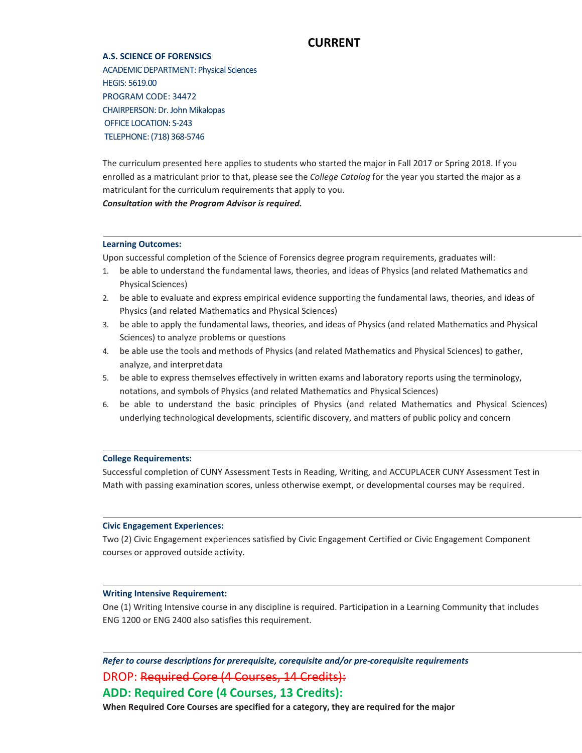## **CURRENT**

#### **A.S. SCIENCE OF FORENSICS**

ACADEMIC DEPARTMENT: Physical Sciences HEGIS: 5619.00 PROGRAM CODE: 34472 CHAIRPERSON: Dr. John Mikalopas OFFICE LOCATION: S-243 TELEPHONE: (718) 368-5746

The curriculum presented here applies to students who started the major in Fall 2017 or Spring 2018. If you enrolled as a matriculant prior to that, please see the *College Catalog* for the year you started the major as a matriculant for the curriculum requirements that apply to you.

*Consultation with the Program Advisor is required.*

#### **Learning Outcomes:**

Upon successful completion of the Science of Forensics degree program requirements, graduates will:

- 1. be able to understand the fundamental laws, theories, and ideas of Physics (and related Mathematics and Physical Sciences)
- 2. be able to evaluate and express empirical evidence supporting the fundamental laws, theories, and ideas of Physics (and related Mathematics and Physical Sciences)
- 3. be able to apply the fundamental laws, theories, and ideas of Physics (and related Mathematics and Physical Sciences) to analyze problems or questions
- 4. be able use the tools and methods of Physics (and related Mathematics and Physical Sciences) to gather, analyze, and interpretdata
- 5. be able to express themselves effectively in written exams and laboratory reports using the terminology, notations, and symbols of Physics (and related Mathematics and Physical Sciences)
- 6. be able to understand the basic principles of Physics (and related Mathematics and Physical Sciences) underlying technological developments, scientific discovery, and matters of public policy and concern

#### **College Requirements:**

Successful completion of CUNY Assessment Tests in Reading, Writing, and ACCUPLACER CUNY Assessment Test in Math with passing examination scores, unless otherwise exempt, or developmental courses may be required.

#### **Civic Engagement Experiences:**

Two (2) Civic Engagement experiences satisfied by Civic Engagement Certified or Civic Engagement Component courses or approved outside activity.

#### **Writing Intensive Requirement:**

One (1) Writing Intensive course in any discipline is required. Participation in a Learning Community that includes ENG 1200 or ENG 2400 also satisfies this requirement.

*Refer to course descriptions for prerequisite, corequisite and/or pre-corequisite requirements* DROP: Required Core (4 Courses, 14 Credits): **ADD: Required Core (4 Courses, 13 Credits):**

**When Required Core Courses are specified for a category, they are required for the major**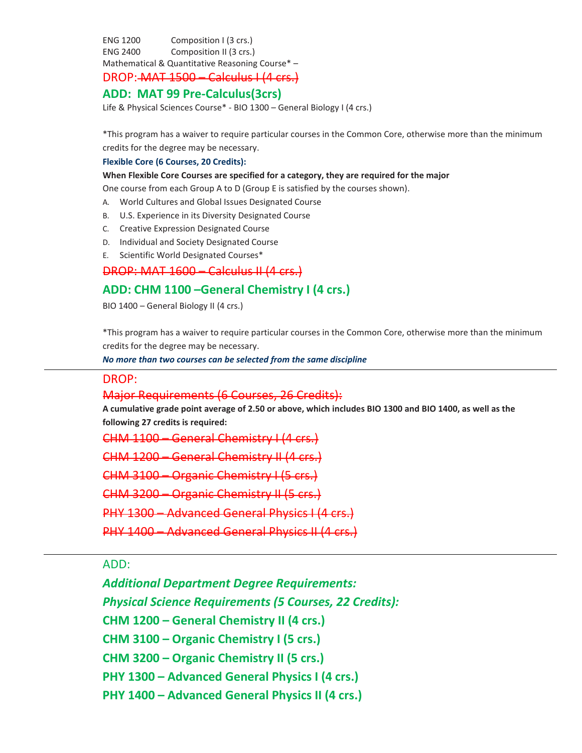ENG 1200 Composition I (3 crs.) ENG 2400 Composition II (3 crs.) Mathematical & Quantitative Reasoning Course\* –

## DROP: MAT 1500 – Calculus I (4 crs.)

## **ADD: MAT 99 Pre-Calculus(3crs)**

Life & Physical Sciences Course\* - BIO 1300 – General Biology I (4 crs.)

\*This program has a waiver to require particular courses in the Common Core, otherwise more than the minimum credits for the degree may be necessary.

#### **Flexible Core (6 Courses, 20 Credits):**

#### **When Flexible Core Courses are specified for a category, they are required for the major**

One course from each Group A to D (Group E is satisfied by the courses shown).

- A. World Cultures and Global Issues Designated Course
- B. U.S. Experience in its Diversity Designated Course
- C. Creative Expression Designated Course
- D. Individual and Society Designated Course
- E. Scientific World Designated Courses\*

## DROP: MAT 1600 – Calculus II (4 crs.)

## **ADD: CHM 1100 –General Chemistry I (4 crs.)**

BIO 1400 – General Biology II (4 crs.)

\*This program has a waiver to require particular courses in the Common Core, otherwise more than the minimum credits for the degree may be necessary.

*No more than two courses can be selected from the same discipline*

### DROP:

#### Major Requirements (6 Courses, 26 Credits):

**A cumulative grade point average of 2.50 or above, which includes BIO 1300 and BIO 1400, as well as the following 27 credits is required:**

CHM 1100 – General Chemistry I (4 crs.)

CHM 1200 – General Chemistry II (4 crs.)

CHM 3100 – Organic Chemistry I (5 crs.)

CHM 3200 – Organic

PHY 1300 – Advanced General Physics I (4 crs.)

PHY 1400 – Advanced General Physics II (4

ADD:

*Additional Department Degree Requirements: Physical Science Requirements (5 Courses, 22 Credits):* **CHM 1200 – General Chemistry II (4 crs.) CHM 3100 – Organic Chemistry I (5 crs.) CHM 3200 – Organic Chemistry II (5 crs.) PHY 1300 – Advanced General Physics I (4 crs.) PHY 1400 – Advanced General Physics II (4 crs.)**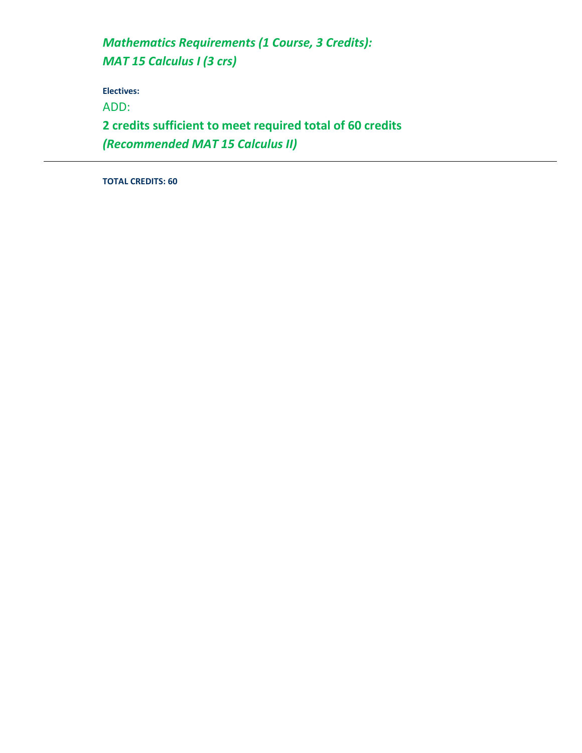*Mathematics Requirements (1 Course, 3 Credits): MAT 15 Calculus I (3 crs)*

**Electives:**

ADD:

**2 credits sufficient to meet required total of 60 credits** *(Recommended MAT 15 Calculus II)*

**TOTAL CREDITS: 60**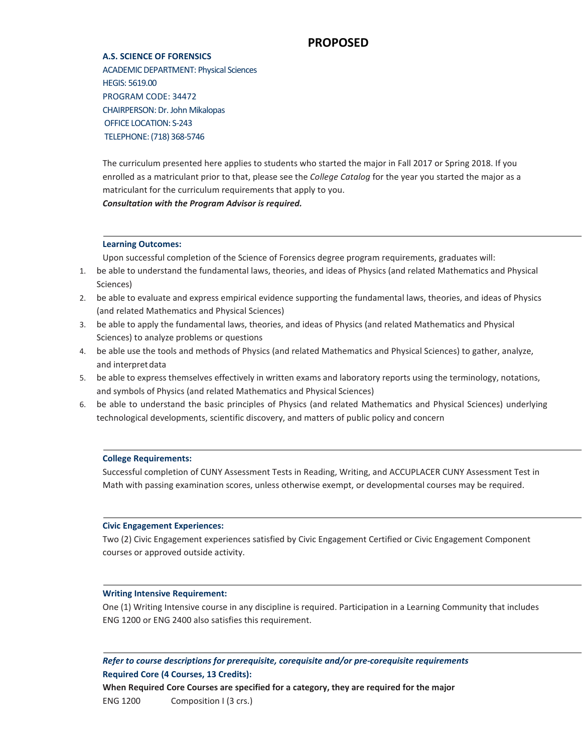## **PROPOSED**

#### **A.S. SCIENCE OF FORENSICS**

ACADEMIC DEPARTMENT: Physical Sciences HEGIS: 5619.00 PROGRAM CODE: 34472 CHAIRPERSON: Dr. John Mikalopas OFFICE LOCATION: S-243 TELEPHONE: (718) 368-5746

The curriculum presented here applies to students who started the major in Fall 2017 or Spring 2018. If you enrolled as a matriculant prior to that, please see the *College Catalog* for the year you started the major as a matriculant for the curriculum requirements that apply to you. *Consultation with the Program Advisor is required.*

#### **Learning Outcomes:**

Upon successful completion of the Science of Forensics degree program requirements, graduates will:

- 1. be able to understand the fundamental laws, theories, and ideas of Physics (and related Mathematics and Physical Sciences)
- 2. be able to evaluate and express empirical evidence supporting the fundamental laws, theories, and ideas of Physics (and related Mathematics and Physical Sciences)
- 3. be able to apply the fundamental laws, theories, and ideas of Physics (and related Mathematics and Physical Sciences) to analyze problems or questions
- 4. be able use the tools and methods of Physics (and related Mathematics and Physical Sciences) to gather, analyze, and interpretdata
- 5. be able to express themselves effectively in written exams and laboratory reports using the terminology, notations, and symbols of Physics (and related Mathematics and Physical Sciences)
- 6. be able to understand the basic principles of Physics (and related Mathematics and Physical Sciences) underlying technological developments, scientific discovery, and matters of public policy and concern

#### **College Requirements:**

Successful completion of CUNY Assessment Tests in Reading, Writing, and ACCUPLACER CUNY Assessment Test in Math with passing examination scores, unless otherwise exempt, or developmental courses may be required.

#### **Civic Engagement Experiences:**

Two (2) Civic Engagement experiences satisfied by Civic Engagement Certified or Civic Engagement Component courses or approved outside activity.

#### **Writing Intensive Requirement:**

One (1) Writing Intensive course in any discipline is required. Participation in a Learning Community that includes ENG 1200 or ENG 2400 also satisfies this requirement.

*Refer to course descriptions for prerequisite, corequisite and/or pre-corequisite requirements* **Required Core (4 Courses, 13 Credits):**

**When Required Core Courses are specified for a category, they are required for the major** ENG 1200 Composition I (3 crs.)